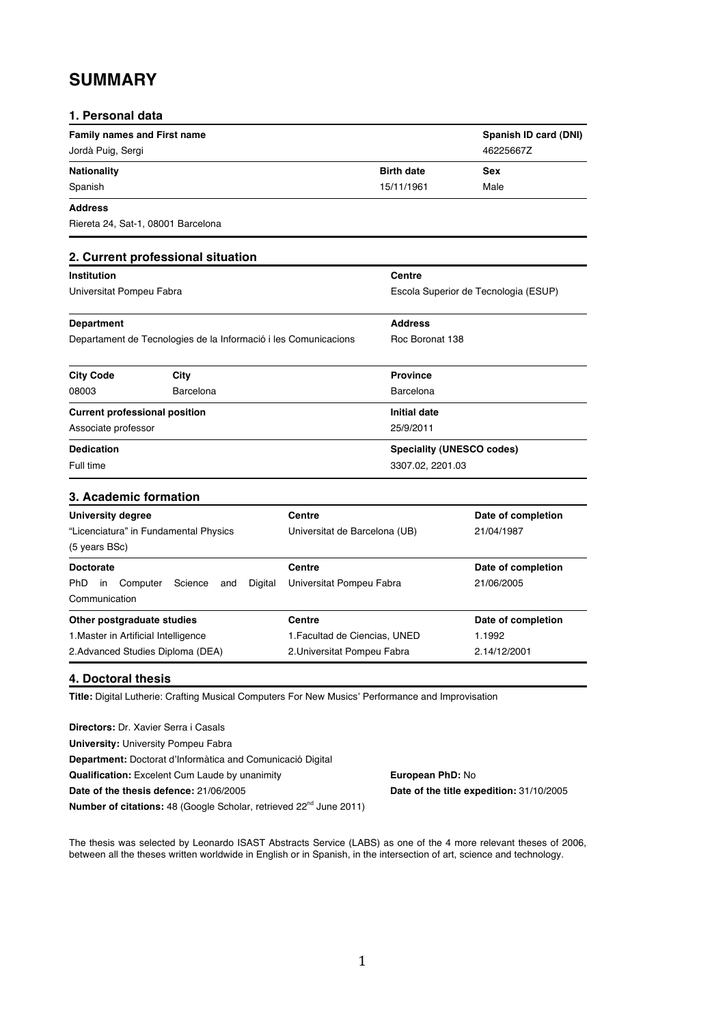# **SUMMARY**

| <b>Family names and First name</b><br>Jordà Puig, Sergi<br>46225667Z<br><b>Birth date</b><br><b>Nationality</b><br><b>Sex</b><br>15/11/1961<br>Spanish<br>Male<br><b>Address</b><br>Riereta 24, Sat-1, 08001 Barcelona<br>2. Current professional situation<br><b>Institution</b><br>Centre<br>Universitat Pompeu Fabra<br>Escola Superior de Tecnologia (ESUP)<br><b>Address</b><br><b>Department</b><br>Roc Boronat 138<br>Departament de Tecnologies de la Informació i les Comunicacions<br><b>City Code</b><br>City<br><b>Province</b><br>08003<br>Barcelona<br>Barcelona<br><b>Initial date</b><br><b>Current professional position</b><br>Associate professor<br>25/9/2011<br><b>Dedication</b><br><b>Speciality (UNESCO codes)</b><br>Full time<br>3307.02, 2201.03<br>3. Academic formation<br>Centre<br><b>University degree</b><br>Date of completion<br>"Licenciatura" in Fundamental Physics<br>Universitat de Barcelona (UB)<br>21/04/1987<br>(5 years BSc)<br><b>Doctorate</b><br>Centre<br>Date of completion<br>Ph <sub>D</sub><br>21/06/2005<br>Computer<br>Digital<br>Universitat Pompeu Fabra<br>in.<br>Science<br>and<br>Communication<br>Other postgraduate studies<br>Centre<br>Date of completion | 1. Personal data |  |                       |
|---------------------------------------------------------------------------------------------------------------------------------------------------------------------------------------------------------------------------------------------------------------------------------------------------------------------------------------------------------------------------------------------------------------------------------------------------------------------------------------------------------------------------------------------------------------------------------------------------------------------------------------------------------------------------------------------------------------------------------------------------------------------------------------------------------------------------------------------------------------------------------------------------------------------------------------------------------------------------------------------------------------------------------------------------------------------------------------------------------------------------------------------------------------------------------------------------------------------------|------------------|--|-----------------------|
|                                                                                                                                                                                                                                                                                                                                                                                                                                                                                                                                                                                                                                                                                                                                                                                                                                                                                                                                                                                                                                                                                                                                                                                                                           |                  |  | Spanish ID card (DNI) |
|                                                                                                                                                                                                                                                                                                                                                                                                                                                                                                                                                                                                                                                                                                                                                                                                                                                                                                                                                                                                                                                                                                                                                                                                                           |                  |  |                       |
|                                                                                                                                                                                                                                                                                                                                                                                                                                                                                                                                                                                                                                                                                                                                                                                                                                                                                                                                                                                                                                                                                                                                                                                                                           |                  |  |                       |
|                                                                                                                                                                                                                                                                                                                                                                                                                                                                                                                                                                                                                                                                                                                                                                                                                                                                                                                                                                                                                                                                                                                                                                                                                           |                  |  |                       |
|                                                                                                                                                                                                                                                                                                                                                                                                                                                                                                                                                                                                                                                                                                                                                                                                                                                                                                                                                                                                                                                                                                                                                                                                                           |                  |  |                       |
|                                                                                                                                                                                                                                                                                                                                                                                                                                                                                                                                                                                                                                                                                                                                                                                                                                                                                                                                                                                                                                                                                                                                                                                                                           |                  |  |                       |
|                                                                                                                                                                                                                                                                                                                                                                                                                                                                                                                                                                                                                                                                                                                                                                                                                                                                                                                                                                                                                                                                                                                                                                                                                           |                  |  |                       |
|                                                                                                                                                                                                                                                                                                                                                                                                                                                                                                                                                                                                                                                                                                                                                                                                                                                                                                                                                                                                                                                                                                                                                                                                                           |                  |  |                       |
|                                                                                                                                                                                                                                                                                                                                                                                                                                                                                                                                                                                                                                                                                                                                                                                                                                                                                                                                                                                                                                                                                                                                                                                                                           |                  |  |                       |
|                                                                                                                                                                                                                                                                                                                                                                                                                                                                                                                                                                                                                                                                                                                                                                                                                                                                                                                                                                                                                                                                                                                                                                                                                           |                  |  |                       |
|                                                                                                                                                                                                                                                                                                                                                                                                                                                                                                                                                                                                                                                                                                                                                                                                                                                                                                                                                                                                                                                                                                                                                                                                                           |                  |  |                       |
|                                                                                                                                                                                                                                                                                                                                                                                                                                                                                                                                                                                                                                                                                                                                                                                                                                                                                                                                                                                                                                                                                                                                                                                                                           |                  |  |                       |
|                                                                                                                                                                                                                                                                                                                                                                                                                                                                                                                                                                                                                                                                                                                                                                                                                                                                                                                                                                                                                                                                                                                                                                                                                           |                  |  |                       |
|                                                                                                                                                                                                                                                                                                                                                                                                                                                                                                                                                                                                                                                                                                                                                                                                                                                                                                                                                                                                                                                                                                                                                                                                                           |                  |  |                       |
|                                                                                                                                                                                                                                                                                                                                                                                                                                                                                                                                                                                                                                                                                                                                                                                                                                                                                                                                                                                                                                                                                                                                                                                                                           |                  |  |                       |
|                                                                                                                                                                                                                                                                                                                                                                                                                                                                                                                                                                                                                                                                                                                                                                                                                                                                                                                                                                                                                                                                                                                                                                                                                           |                  |  |                       |
|                                                                                                                                                                                                                                                                                                                                                                                                                                                                                                                                                                                                                                                                                                                                                                                                                                                                                                                                                                                                                                                                                                                                                                                                                           |                  |  |                       |
|                                                                                                                                                                                                                                                                                                                                                                                                                                                                                                                                                                                                                                                                                                                                                                                                                                                                                                                                                                                                                                                                                                                                                                                                                           |                  |  |                       |
|                                                                                                                                                                                                                                                                                                                                                                                                                                                                                                                                                                                                                                                                                                                                                                                                                                                                                                                                                                                                                                                                                                                                                                                                                           |                  |  |                       |
|                                                                                                                                                                                                                                                                                                                                                                                                                                                                                                                                                                                                                                                                                                                                                                                                                                                                                                                                                                                                                                                                                                                                                                                                                           |                  |  |                       |
|                                                                                                                                                                                                                                                                                                                                                                                                                                                                                                                                                                                                                                                                                                                                                                                                                                                                                                                                                                                                                                                                                                                                                                                                                           |                  |  |                       |
|                                                                                                                                                                                                                                                                                                                                                                                                                                                                                                                                                                                                                                                                                                                                                                                                                                                                                                                                                                                                                                                                                                                                                                                                                           |                  |  |                       |
|                                                                                                                                                                                                                                                                                                                                                                                                                                                                                                                                                                                                                                                                                                                                                                                                                                                                                                                                                                                                                                                                                                                                                                                                                           |                  |  |                       |
|                                                                                                                                                                                                                                                                                                                                                                                                                                                                                                                                                                                                                                                                                                                                                                                                                                                                                                                                                                                                                                                                                                                                                                                                                           |                  |  |                       |
| 1. Master in Artificial Intelligence<br>1. Facultad de Ciencias, UNED<br>1.1992                                                                                                                                                                                                                                                                                                                                                                                                                                                                                                                                                                                                                                                                                                                                                                                                                                                                                                                                                                                                                                                                                                                                           |                  |  |                       |
| 2. Advanced Studies Diploma (DEA)<br>2. Universitat Pompeu Fabra<br>2.14/12/2001                                                                                                                                                                                                                                                                                                                                                                                                                                                                                                                                                                                                                                                                                                                                                                                                                                                                                                                                                                                                                                                                                                                                          |                  |  |                       |

#### **4. Doctoral thesis**

**Title:** Digital Lutherie: Crafting Musical Computers For New Musics' Performance and Improvisation

**Directors:** Dr. Xavier Serra i Casals **University:** University Pompeu Fabra **Department:** Doctorat d'Informàtica and Comunicació Digital **Qualification:** Excelent Cum Laude by unanimity **European PhD: No Date of the thesis defence:** 21/06/2005 **Date of the title expedition:** 31/10/2005 **Number of citations:** 48 (Google Scholar, retrieved 22<sup>nd</sup> June 2011)

The thesis was selected by Leonardo ISAST Abstracts Service (LABS) as one of the 4 more relevant theses of 2006, between all the theses written worldwide in English or in Spanish, in the intersection of art, science and technology.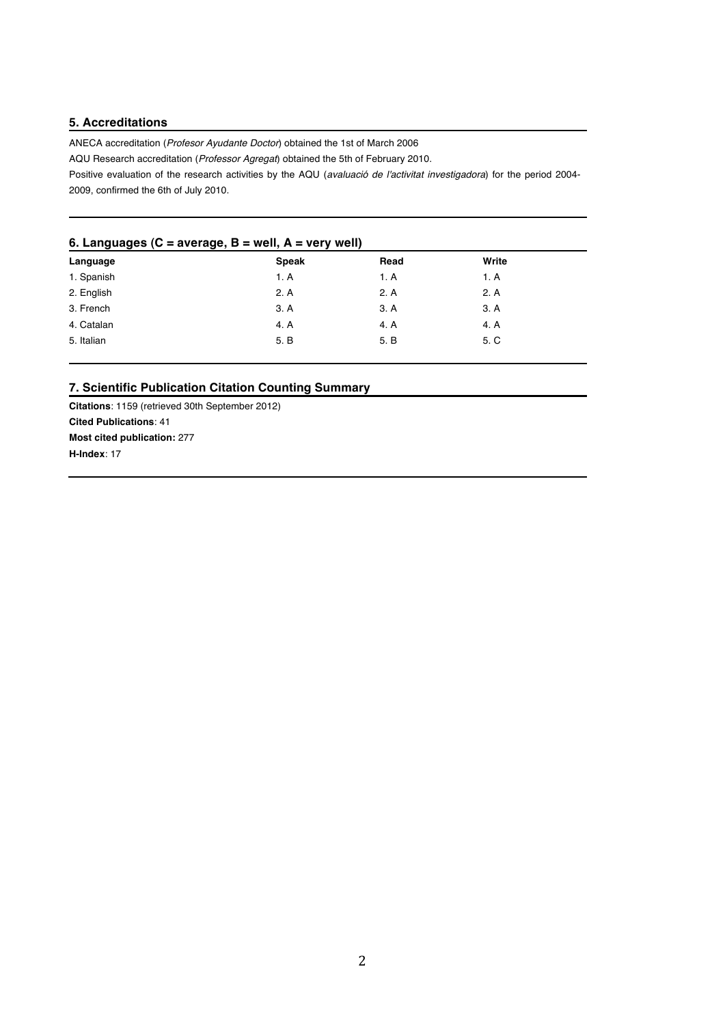# **5. Accreditations**

ANECA accreditation (*Profesor Ayudante Doctor*) obtained the 1st of March 2006

AQU Research accreditation (*Professor Agregat*) obtained the 5th of February 2010.

Positive evaluation of the research activities by the AQU (*avaluació de l'activitat investigadora*) for the period 2004- 2009, confirmed the 6th of July 2010.

#### **6. Languages (C = average, B = well, A = very well)**

| $\sim$<br>--<br>$\ddot{\phantom{1}}$ |              |      |       |
|--------------------------------------|--------------|------|-------|
| Language                             | <b>Speak</b> | Read | Write |
| 1. Spanish                           | 1. A         | 1. A | 1. A  |
| 2. English                           | 2. A         | 2. A | 2. A  |
| 3. French                            | 3. A         | 3. A | 3. A  |
| 4. Catalan                           | 4. A         | 4. A | 4. A  |
| 5. Italian                           | 5. B         | 5. B | 5. C  |
|                                      |              |      |       |

# **7. Scientific Publication Citation Counting Summary**

**Citations**: 1159 (retrieved 30th September 2012) **Cited Publications**: 41 **Most cited publication:** 277 **H-Index**: 17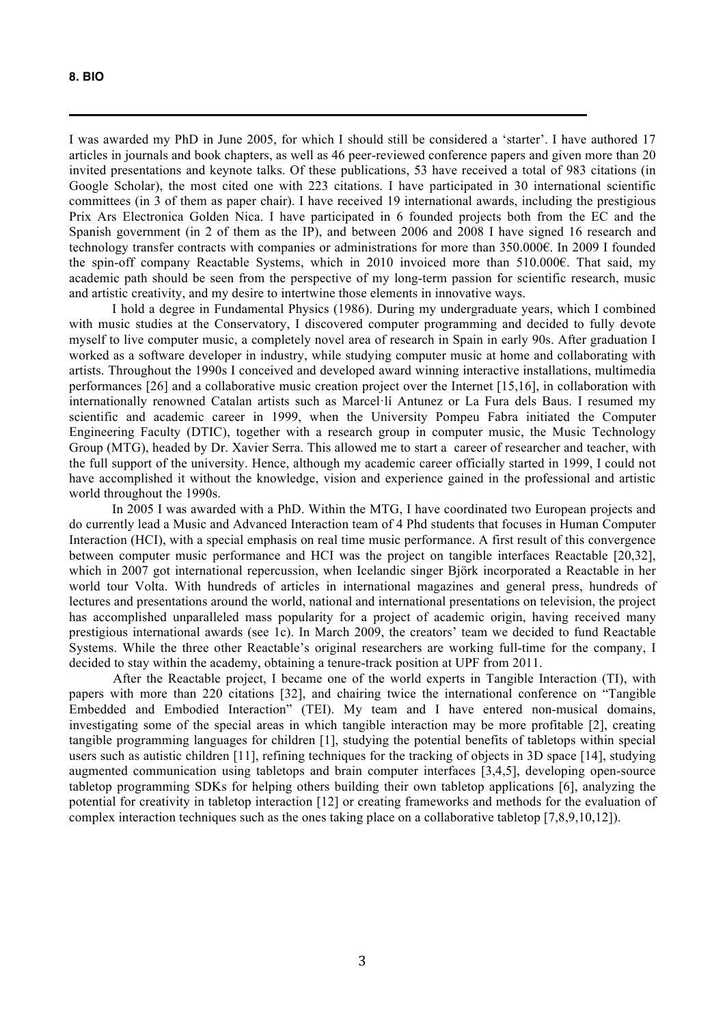I was awarded my PhD in June 2005, for which I should still be considered a 'starter'. I have authored 17 articles in journals and book chapters, as well as 46 peer-reviewed conference papers and given more than 20 invited presentations and keynote talks. Of these publications, 53 have received a total of 983 citations (in Google Scholar), the most cited one with 223 citations. I have participated in 30 international scientific committees (in 3 of them as paper chair). I have received 19 international awards, including the prestigious Prix Ars Electronica Golden Nica. I have participated in 6 founded projects both from the EC and the Spanish government (in 2 of them as the IP), and between 2006 and 2008 I have signed 16 research and technology transfer contracts with companies or administrations for more than 350.000€. In 2009 I founded the spin-off company Reactable Systems, which in 2010 invoiced more than 510.000€. That said, my academic path should be seen from the perspective of my long-term passion for scientific research, music and artistic creativity, and my desire to intertwine those elements in innovative ways.

I hold a degree in Fundamental Physics (1986). During my undergraduate years, which I combined with music studies at the Conservatory, I discovered computer programming and decided to fully devote myself to live computer music, a completely novel area of research in Spain in early 90s. After graduation I worked as a software developer in industry, while studying computer music at home and collaborating with artists. Throughout the 1990s I conceived and developed award winning interactive installations, multimedia performances [26] and a collaborative music creation project over the Internet [15,16], in collaboration with internationally renowned Catalan artists such as Marcel·lí Antunez or La Fura dels Baus. I resumed my scientific and academic career in 1999, when the University Pompeu Fabra initiated the Computer Engineering Faculty (DTIC), together with a research group in computer music, the Music Technology Group (MTG), headed by Dr. Xavier Serra. This allowed me to start a career of researcher and teacher, with the full support of the university. Hence, although my academic career officially started in 1999, I could not have accomplished it without the knowledge, vision and experience gained in the professional and artistic world throughout the 1990s.

In 2005 I was awarded with a PhD. Within the MTG, I have coordinated two European projects and do currently lead a Music and Advanced Interaction team of 4 Phd students that focuses in Human Computer Interaction (HCI), with a special emphasis on real time music performance. A first result of this convergence between computer music performance and HCI was the project on tangible interfaces Reactable [20,32], which in 2007 got international repercussion, when Icelandic singer Björk incorporated a Reactable in her world tour Volta. With hundreds of articles in international magazines and general press, hundreds of lectures and presentations around the world, national and international presentations on television, the project has accomplished unparalleled mass popularity for a project of academic origin, having received many prestigious international awards (see 1c). In March 2009, the creators' team we decided to fund Reactable Systems. While the three other Reactable's original researchers are working full-time for the company, I decided to stay within the academy, obtaining a tenure-track position at UPF from 2011.

After the Reactable project, I became one of the world experts in Tangible Interaction (TI), with papers with more than 220 citations [32], and chairing twice the international conference on "Tangible Embedded and Embodied Interaction" (TEI). My team and I have entered non-musical domains, investigating some of the special areas in which tangible interaction may be more profitable [2], creating tangible programming languages for children [1], studying the potential benefits of tabletops within special users such as autistic children [11], refining techniques for the tracking of objects in 3D space [14], studying augmented communication using tabletops and brain computer interfaces [3,4,5], developing open-source tabletop programming SDKs for helping others building their own tabletop applications [6], analyzing the potential for creativity in tabletop interaction [12] or creating frameworks and methods for the evaluation of complex interaction techniques such as the ones taking place on a collaborative tabletop [7,8,9,10,12]).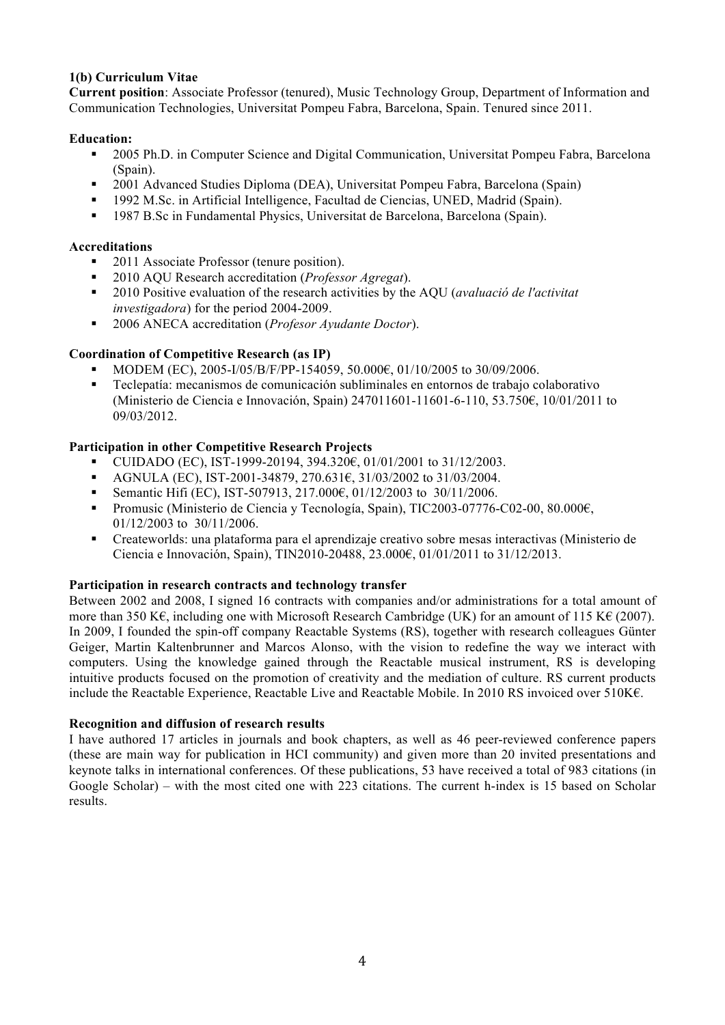# **1(b) Curriculum Vitae**

**Current position**: Associate Professor (tenured), Music Technology Group, Department of Information and Communication Technologies, Universitat Pompeu Fabra, Barcelona, Spain. Tenured since 2011.

# **Education:**

- <sup>2005</sup> Ph.D. in Computer Science and Digital Communication, Universitat Pompeu Fabra, Barcelona (Spain).
- 2001 Advanced Studies Diploma (DEA), Universitat Pompeu Fabra, Barcelona (Spain)
- 1992 M.Sc. in Artificial Intelligence, Facultad de Ciencias, UNED, Madrid (Spain).
- 1987 B.Sc in Fundamental Physics, Universitat de Barcelona, Barcelona (Spain).

#### **Accreditations**

- 2011 Associate Professor (tenure position).
- 2010 AQU Research accreditation (*Professor Agregat*).
- 2010 Positive evaluation of the research activities by the AQU (*avaluació de l'activitat investigadora*) for the period 2004-2009.
- 2006 ANECA accreditation (*Profesor Ayudante Doctor*).

# **Coordination of Competitive Research (as IP)**

- MODEM (EC), 2005-I/05/B/F/PP-154059, 50.000€, 01/10/2005 to 30/09/2006.
- Teclepatía: mecanismos de comunicación subliminales en entornos de trabajo colaborativo (Ministerio de Ciencia e Innovación, Spain) 247011601-11601-6-110, 53.750€, 10/01/2011 to 09/03/2012.

# **Participation in other Competitive Research Projects**

- CUIDADO (EC), IST-1999-20194, 394.320€, 01/01/2001 to 31/12/2003.
- AGNULA (EC), IST-2001-34879, 270.631€, 31/03/2002 to 31/03/2004.
- Semantic Hifi (EC), IST-507913, 217.000€, 01/12/2003 to 30/11/2006.
- Promusic (Ministerio de Ciencia y Tecnología, Spain), TIC2003-07776-C02-00, 80.000€, 01/12/2003 to 30/11/2006.
- Createworlds: una plataforma para el aprendizaje creativo sobre mesas interactivas (Ministerio de Ciencia e Innovación, Spain), TIN2010-20488, 23.000€, 01/01/2011 to 31/12/2013.

#### **Participation in research contracts and technology transfer**

Between 2002 and 2008, I signed 16 contracts with companies and/or administrations for a total amount of more than 350 K€, including one with Microsoft Research Cambridge (UK) for an amount of 115 K€ (2007). In 2009, I founded the spin-off company Reactable Systems (RS), together with research colleagues Günter Geiger, Martin Kaltenbrunner and Marcos Alonso, with the vision to redefine the way we interact with computers. Using the knowledge gained through the Reactable musical instrument, RS is developing intuitive products focused on the promotion of creativity and the mediation of culture. RS current products include the Reactable Experience, Reactable Live and Reactable Mobile. In 2010 RS invoiced over 510K€.

#### **Recognition and diffusion of research results**

I have authored 17 articles in journals and book chapters, as well as 46 peer-reviewed conference papers (these are main way for publication in HCI community) and given more than 20 invited presentations and keynote talks in international conferences. Of these publications, 53 have received a total of 983 citations (in Google Scholar) – with the most cited one with 223 citations. The current h-index is 15 based on Scholar results.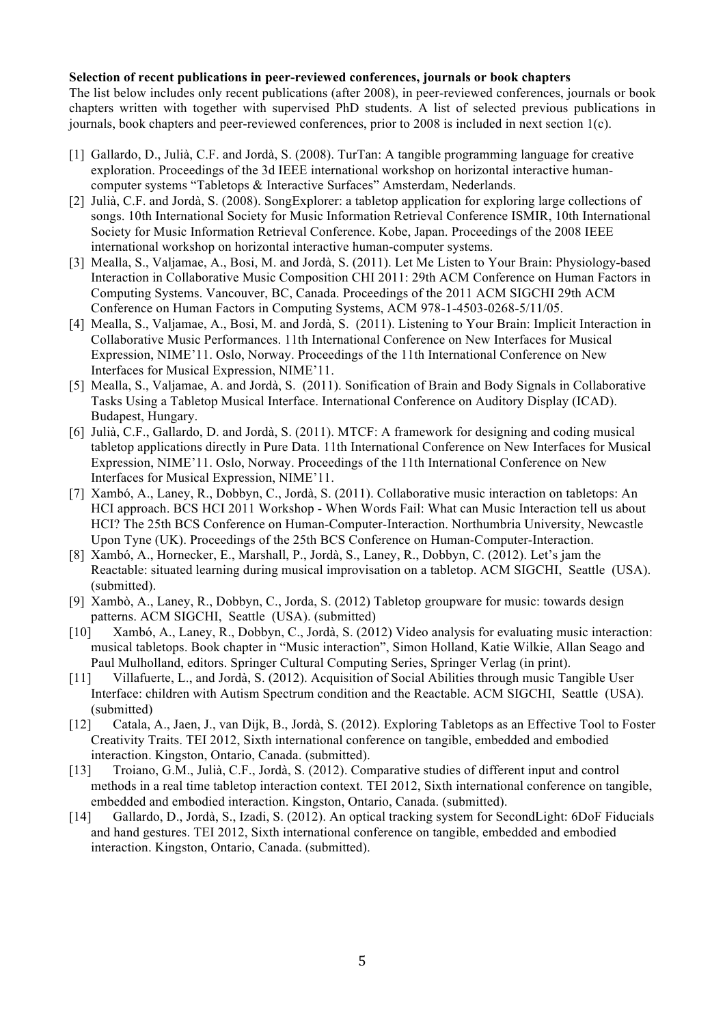#### **Selection of recent publications in peer-reviewed conferences, journals or book chapters**

The list below includes only recent publications (after 2008), in peer-reviewed conferences, journals or book chapters written with together with supervised PhD students. A list of selected previous publications in journals, book chapters and peer-reviewed conferences, prior to 2008 is included in next section 1(c).

- [1] Gallardo, D., Julià, C.F. and Jordà, S. (2008). TurTan: A tangible programming language for creative exploration. Proceedings of the 3d IEEE international workshop on horizontal interactive humancomputer systems "Tabletops & Interactive Surfaces" Amsterdam, Nederlands.
- [2] Julià, C.F. and Jordà, S. (2008). SongExplorer: a tabletop application for exploring large collections of songs. 10th International Society for Music Information Retrieval Conference ISMIR, 10th International Society for Music Information Retrieval Conference. Kobe, Japan. Proceedings of the 2008 IEEE international workshop on horizontal interactive human-computer systems.
- [3] Mealla, S., Valjamae, A., Bosi, M. and Jordà, S. (2011). Let Me Listen to Your Brain: Physiology-based Interaction in Collaborative Music Composition CHI 2011: 29th ACM Conference on Human Factors in Computing Systems. Vancouver, BC, Canada. Proceedings of the 2011 ACM SIGCHI 29th ACM Conference on Human Factors in Computing Systems, ACM 978-1-4503-0268-5/11/05.
- [4] Mealla, S., Valjamae, A., Bosi, M. and Jordà, S. (2011). Listening to Your Brain: Implicit Interaction in Collaborative Music Performances. 11th International Conference on New Interfaces for Musical Expression, NIME'11. Oslo, Norway. Proceedings of the 11th International Conference on New Interfaces for Musical Expression, NIME'11.
- [5] Mealla, S., Valjamae, A. and Jordà, S. (2011). Sonification of Brain and Body Signals in Collaborative Tasks Using a Tabletop Musical Interface. International Conference on Auditory Display (ICAD). Budapest, Hungary.
- [6] Julià, C.F., Gallardo, D. and Jordà, S. (2011). MTCF: A framework for designing and coding musical tabletop applications directly in Pure Data. 11th International Conference on New Interfaces for Musical Expression, NIME'11. Oslo, Norway. Proceedings of the 11th International Conference on New Interfaces for Musical Expression, NIME'11.
- [7] Xambó, A., Laney, R., Dobbyn, C., Jordà, S. (2011). Collaborative music interaction on tabletops: An HCI approach. BCS HCI 2011 Workshop - When Words Fail: What can Music Interaction tell us about HCI? The 25th BCS Conference on Human-Computer-Interaction. Northumbria University, Newcastle Upon Tyne (UK). Proceedings of the 25th BCS Conference on Human-Computer-Interaction.
- [8] Xambó, A., Hornecker, E., Marshall, P., Jordà, S., Laney, R., Dobbyn, C. (2012). Let's jam the Reactable: situated learning during musical improvisation on a tabletop. ACM SIGCHI, Seattle (USA). (submitted).
- [9] Xambò, A., Laney, R., Dobbyn, C., Jorda, S. (2012) Tabletop groupware for music: towards design patterns. ACM SIGCHI, Seattle (USA). (submitted)
- [10] Xambó, A., Laney, R., Dobbyn, C., Jordà, S. (2012) Video analysis for evaluating music interaction: musical tabletops. Book chapter in "Music interaction", Simon Holland, Katie Wilkie, Allan Seago and Paul Mulholland, editors. Springer Cultural Computing Series, Springer Verlag (in print).
- [11] Villafuerte, L., and Jordà, S. (2012). Acquisition of Social Abilities through music Tangible User Interface: children with Autism Spectrum condition and the Reactable. ACM SIGCHI, Seattle (USA). (submitted)
- [12] Catala, A., Jaen, J., van Dijk, B., Jordà, S. (2012). Exploring Tabletops as an Effective Tool to Foster Creativity Traits. TEI 2012, Sixth international conference on tangible, embedded and embodied interaction. Kingston, Ontario, Canada. (submitted).
- [13] Troiano, G.M., Julià, C.F., Jordà, S. (2012). Comparative studies of different input and control methods in a real time tabletop interaction context. TEI 2012, Sixth international conference on tangible, embedded and embodied interaction. Kingston, Ontario, Canada. (submitted).
- [14] Gallardo, D., Jordà, S., Izadi, S. (2012). An optical tracking system for SecondLight: 6DoF Fiducials and hand gestures. TEI 2012, Sixth international conference on tangible, embedded and embodied interaction. Kingston, Ontario, Canada. (submitted).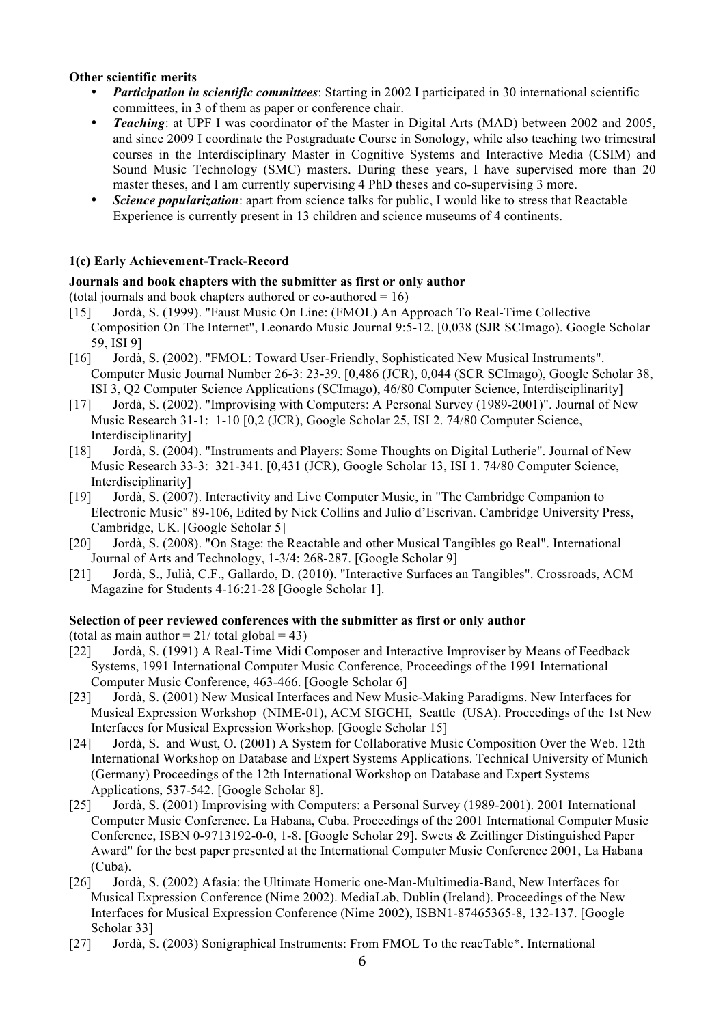#### **Other scientific merits**

- *Participation in scientific committees*: Starting in 2002 I participated in 30 international scientific committees, in 3 of them as paper or conference chair.
- *Teaching*: at UPF I was coordinator of the Master in Digital Arts (MAD) between 2002 and 2005, and since 2009 I coordinate the Postgraduate Course in Sonology, while also teaching two trimestral courses in the Interdisciplinary Master in Cognitive Systems and Interactive Media (CSIM) and Sound Music Technology (SMC) masters. During these years, I have supervised more than 20 master theses, and I am currently supervising 4 PhD theses and co-supervising 3 more.
- *Science popularization*: apart from science talks for public, I would like to stress that Reactable Experience is currently present in 13 children and science museums of 4 continents.

# **1(c) Early Achievement-Track-Record**

# **Journals and book chapters with the submitter as first or only author**

(total journals and book chapters authored or co-authored  $= 16$ )

- [15] Jordà, S. (1999). "Faust Music On Line: (FMOL) An Approach To Real-Time Collective Composition On The Internet", Leonardo Music Journal 9:5-12. [0,038 (SJR SCImago). Google Scholar 59, ISI 9]
- [16] Jordà, S. (2002). "FMOL: Toward User-Friendly, Sophisticated New Musical Instruments". Computer Music Journal Number 26-3: 23-39. [0,486 (JCR), 0,044 (SCR SCImago), Google Scholar 38, ISI 3, Q2 Computer Science Applications (SCImago), 46/80 Computer Science, Interdisciplinarity]
- [17] Jordà, S. (2002). "Improvising with Computers: A Personal Survey (1989-2001)". Journal of New Music Research 31-1: 1-10 [0,2 (JCR), Google Scholar 25, ISI 2. 74/80 Computer Science, Interdisciplinarity]
- [18] Jordà, S. (2004). "Instruments and Players: Some Thoughts on Digital Lutherie". Journal of New Music Research 33-3: 321-341. [0,431 (JCR), Google Scholar 13, ISI 1. 74/80 Computer Science, Interdisciplinarity]
- [19] Jordà, S. (2007). Interactivity and Live Computer Music, in "The Cambridge Companion to Electronic Music" 89-106, Edited by Nick Collins and Julio d'Escrivan. Cambridge University Press, Cambridge, UK. [Google Scholar 5]
- [20] Jordà, S. (2008). "On Stage: the Reactable and other Musical Tangibles go Real". International Journal of Arts and Technology, 1-3/4: 268-287. [Google Scholar 9]
- [21] Jordà, S., Julià, C.F., Gallardo, D. (2010). "Interactive Surfaces an Tangibles". Crossroads, ACM Magazine for Students 4-16:21-28 [Google Scholar 1].

# **Selection of peer reviewed conferences with the submitter as first or only author**

(total as main author  $= 21/$  total global  $= 43$ )

- [22] Jordà, S. (1991) A Real-Time Midi Composer and Interactive Improviser by Means of Feedback Systems, 1991 International Computer Music Conference, Proceedings of the 1991 International Computer Music Conference, 463-466. [Google Scholar 6]
- [23] Jordà, S. (2001) New Musical Interfaces and New Music-Making Paradigms. New Interfaces for Musical Expression Workshop (NIME-01), ACM SIGCHI, Seattle (USA). Proceedings of the 1st New Interfaces for Musical Expression Workshop. [Google Scholar 15]
- [24] Jordà, S. and Wust, O. (2001) A System for Collaborative Music Composition Over the Web. 12th International Workshop on Database and Expert Systems Applications. Technical University of Munich (Germany) Proceedings of the 12th International Workshop on Database and Expert Systems Applications, 537-542. [Google Scholar 8].
- [25] Jordà, S. (2001) Improvising with Computers: a Personal Survey (1989-2001). 2001 International Computer Music Conference. La Habana, Cuba. Proceedings of the 2001 International Computer Music Conference, ISBN 0-9713192-0-0, 1-8. [Google Scholar 29]. Swets & Zeitlinger Distinguished Paper Award" for the best paper presented at the International Computer Music Conference 2001, La Habana (Cuba).
- [26] Jordà, S. (2002) Afasia: the Ultimate Homeric one-Man-Multimedia-Band, New Interfaces for Musical Expression Conference (Nime 2002). MediaLab, Dublin (Ireland). Proceedings of the New Interfaces for Musical Expression Conference (Nime 2002), ISBN1-87465365-8, 132-137. [Google Scholar 33]
- [27] Jordà, S. (2003) Sonigraphical Instruments: From FMOL To the reacTable\*. International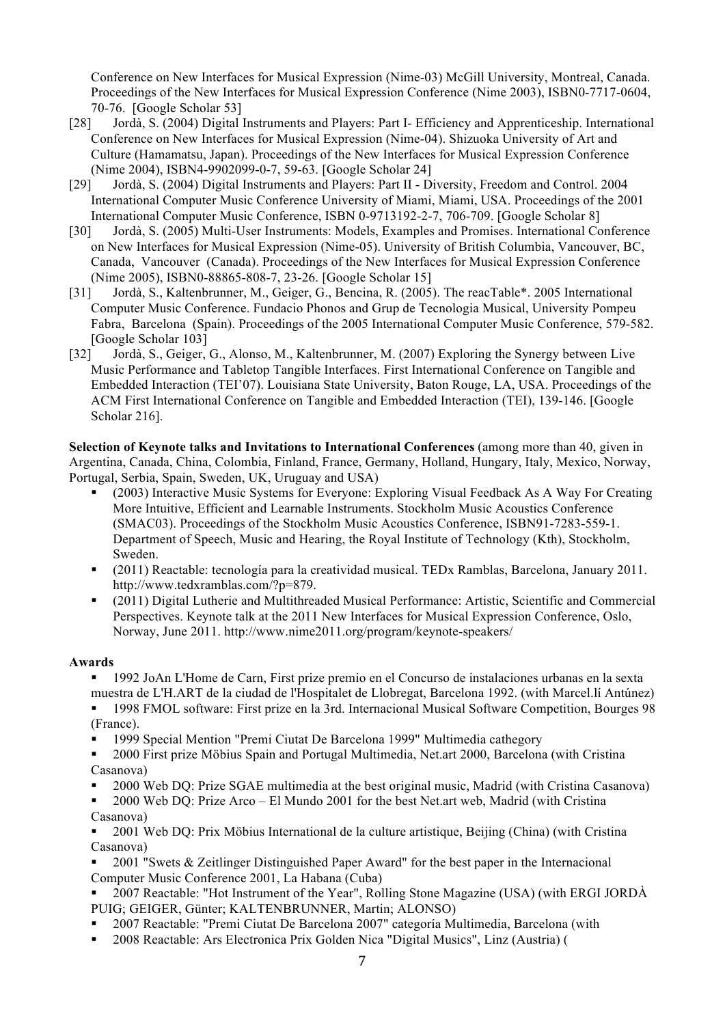Conference on New Interfaces for Musical Expression (Nime-03) McGill University, Montreal, Canada. Proceedings of the New Interfaces for Musical Expression Conference (Nime 2003), ISBN0-7717-0604, 70-76. [Google Scholar 53]

- [28] Jordà, S. (2004) Digital Instruments and Players: Part I- Efficiency and Apprenticeship. International Conference on New Interfaces for Musical Expression (Nime-04). Shizuoka University of Art and Culture (Hamamatsu, Japan). Proceedings of the New Interfaces for Musical Expression Conference (Nime 2004), ISBN4-9902099-0-7, 59-63. [Google Scholar 24]
- [29] Jordà, S. (2004) Digital Instruments and Players: Part II Diversity, Freedom and Control. 2004 International Computer Music Conference University of Miami, Miami, USA. Proceedings of the 2001 International Computer Music Conference, ISBN 0-9713192-2-7, 706-709. [Google Scholar 8]
- [30] Jordà, S. (2005) Multi-User Instruments: Models, Examples and Promises. International Conference on New Interfaces for Musical Expression (Nime-05). University of British Columbia, Vancouver, BC, Canada, Vancouver (Canada). Proceedings of the New Interfaces for Musical Expression Conference (Nime 2005), ISBN0-88865-808-7, 23-26. [Google Scholar 15]
- [31] Jordà, S., Kaltenbrunner, M., Geiger, G., Bencina, R. (2005). The reacTable\*. 2005 International Computer Music Conference. Fundacio Phonos and Grup de Tecnologia Musical, University Pompeu Fabra, Barcelona (Spain). Proceedings of the 2005 International Computer Music Conference, 579-582. [Google Scholar 103]
- [32] Jordà, S., Geiger, G., Alonso, M., Kaltenbrunner, M. (2007) Exploring the Synergy between Live Music Performance and Tabletop Tangible Interfaces. First International Conference on Tangible and Embedded Interaction (TEI'07). Louisiana State University, Baton Rouge, LA, USA. Proceedings of the ACM First International Conference on Tangible and Embedded Interaction (TEI), 139-146. [Google Scholar 216].

**Selection of Keynote talks and Invitations to International Conferences** (among more than 40, given in Argentina, Canada, China, Colombia, Finland, France, Germany, Holland, Hungary, Italy, Mexico, Norway, Portugal, Serbia, Spain, Sweden, UK, Uruguay and USA)

- (2003) Interactive Music Systems for Everyone: Exploring Visual Feedback As A Way For Creating More Intuitive, Efficient and Learnable Instruments. Stockholm Music Acoustics Conference (SMAC03). Proceedings of the Stockholm Music Acoustics Conference, ISBN91-7283-559-1. Department of Speech, Music and Hearing, the Royal Institute of Technology (Kth), Stockholm, Sweden.
- (2011) Reactable: tecnología para la creatividad musical. TEDx Ramblas, Barcelona, January 2011. http://www.tedxramblas.com/?p=879.
- (2011) Digital Lutherie and Multithreaded Musical Performance: Artistic, Scientific and Commercial Perspectives. Keynote talk at the 2011 New Interfaces for Musical Expression Conference, Oslo, Norway, June 2011. http://www.nime2011.org/program/keynote-speakers/

#### **Awards**

 1992 JoAn L'Home de Carn, First prize premio en el Concurso de instalaciones urbanas en la sexta muestra de L'H.ART de la ciudad de l'Hospitalet de Llobregat, Barcelona 1992. (with Marcel.lí Antúnez)

- 1998 FMOL software: First prize en la 3rd. Internacional Musical Software Competition, Bourges 98 (France).
- 1999 Special Mention "Premi Ciutat De Barcelona 1999" Multimedia cathegory

 2000 First prize Möbius Spain and Portugal Multimedia, Net.art 2000, Barcelona (with Cristina Casanova)

- 2000 Web DQ: Prize SGAE multimedia at the best original music, Madrid (with Cristina Casanova)
- 2000 Web DQ: Prize Arco El Mundo 2001 for the best Net.art web, Madrid (with Cristina Casanova)

 2001 Web DQ: Prix Möbius International de la culture artistique, Beijing (China) (with Cristina Casanova)

 2001 "Swets & Zeitlinger Distinguished Paper Award" for the best paper in the Internacional Computer Music Conference 2001, La Habana (Cuba)

 2007 Reactable: "Hot Instrument of the Year", Rolling Stone Magazine (USA) (with ERGI JORDÀ PUIG; GEIGER, Günter; KALTENBRUNNER, Martin; ALONSO)

- 2007 Reactable: "Premi Ciutat De Barcelona 2007" categoría Multimedia, Barcelona (with
- 2008 Reactable: Ars Electronica Prix Golden Nica "Digital Musics", Linz (Austria) (